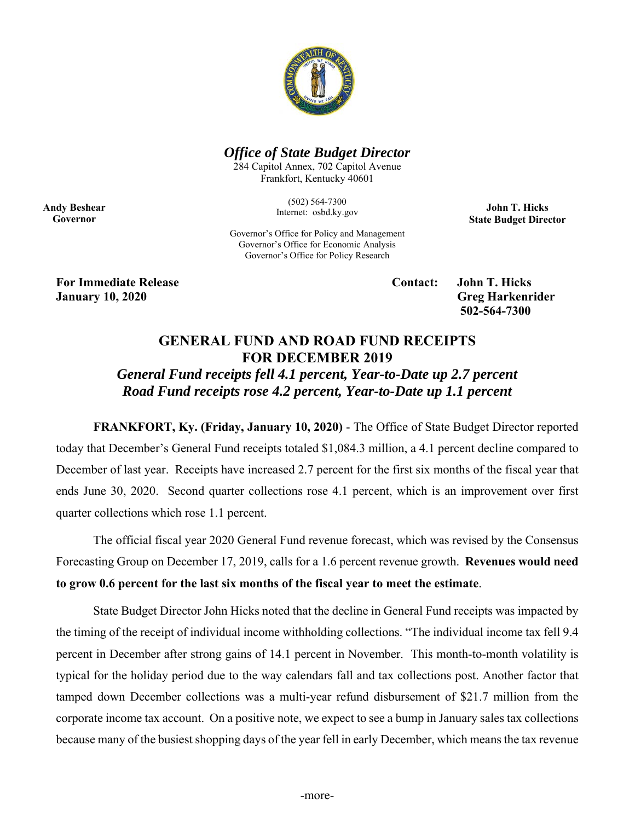

## *Office of State Budget Director*

284 Capitol Annex, 702 Capitol Avenue Frankfort, Kentucky 40601

> (502) 564-7300 Internet: osbd.ky.gov

**John T. Hicks State Budget Director** 

Governor's Office for Policy and Management Governor's Office for Economic Analysis Governor's Office for Policy Research

**For Immediate Release Contact: John T. Hicks January 10, 2020 Greg Harkenrider** 

**Andy Beshear Governor** 

 **502-564-7300** 

## **GENERAL FUND AND ROAD FUND RECEIPTS FOR DECEMBER 2019**

*General Fund receipts fell 4.1 percent, Year-to-Date up 2.7 percent Road Fund receipts rose 4.2 percent, Year-to-Date up 1.1 percent* 

 **FRANKFORT, Ky. (Friday, January 10, 2020)** - The Office of State Budget Director reported today that December's General Fund receipts totaled \$1,084.3 million, a 4.1 percent decline compared to December of last year. Receipts have increased 2.7 percent for the first six months of the fiscal year that ends June 30, 2020. Second quarter collections rose 4.1 percent, which is an improvement over first quarter collections which rose 1.1 percent.

The official fiscal year 2020 General Fund revenue forecast, which was revised by the Consensus Forecasting Group on December 17, 2019, calls for a 1.6 percent revenue growth. **Revenues would need to grow 0.6 percent for the last six months of the fiscal year to meet the estimate**.

State Budget Director John Hicks noted that the decline in General Fund receipts was impacted by the timing of the receipt of individual income withholding collections. "The individual income tax fell 9.4 percent in December after strong gains of 14.1 percent in November. This month-to-month volatility is typical for the holiday period due to the way calendars fall and tax collections post. Another factor that tamped down December collections was a multi-year refund disbursement of \$21.7 million from the corporate income tax account. On a positive note, we expect to see a bump in January sales tax collections because many of the busiest shopping days of the year fell in early December, which means the tax revenue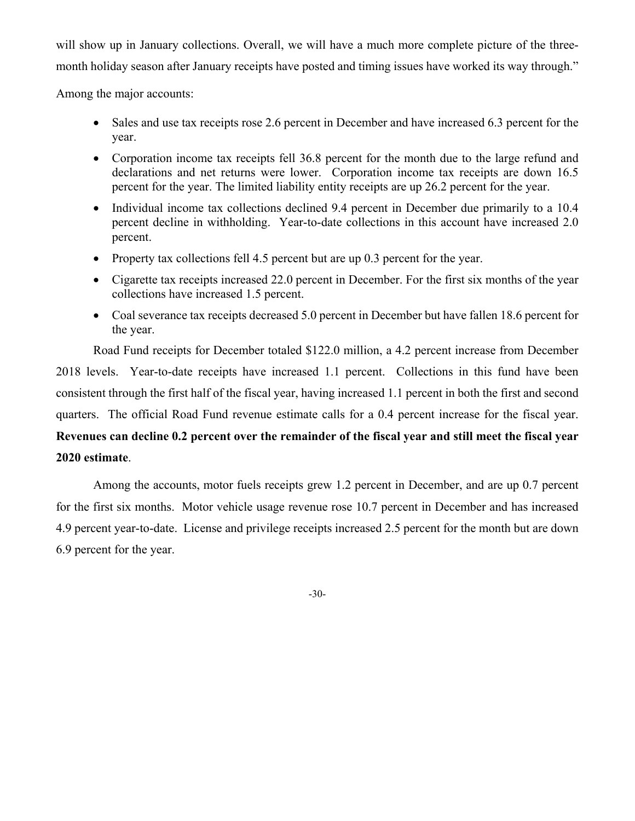will show up in January collections. Overall, we will have a much more complete picture of the threemonth holiday season after January receipts have posted and timing issues have worked its way through."

Among the major accounts:

- Sales and use tax receipts rose 2.6 percent in December and have increased 6.3 percent for the year.
- Corporation income tax receipts fell 36.8 percent for the month due to the large refund and declarations and net returns were lower. Corporation income tax receipts are down 16.5 percent for the year. The limited liability entity receipts are up 26.2 percent for the year.
- Individual income tax collections declined 9.4 percent in December due primarily to a 10.4 percent decline in withholding. Year-to-date collections in this account have increased 2.0 percent.
- Property tax collections fell 4.5 percent but are up 0.3 percent for the year.
- Cigarette tax receipts increased 22.0 percent in December. For the first six months of the year collections have increased 1.5 percent.
- Coal severance tax receipts decreased 5.0 percent in December but have fallen 18.6 percent for the year.

Road Fund receipts for December totaled \$122.0 million, a 4.2 percent increase from December 2018 levels. Year-to-date receipts have increased 1.1 percent. Collections in this fund have been consistent through the first half of the fiscal year, having increased 1.1 percent in both the first and second quarters. The official Road Fund revenue estimate calls for a 0.4 percent increase for the fiscal year. **Revenues can decline 0.2 percent over the remainder of the fiscal year and still meet the fiscal year 2020 estimate**.

 Among the accounts, motor fuels receipts grew 1.2 percent in December, and are up 0.7 percent for the first six months. Motor vehicle usage revenue rose 10.7 percent in December and has increased 4.9 percent year-to-date. License and privilege receipts increased 2.5 percent for the month but are down 6.9 percent for the year.

-30-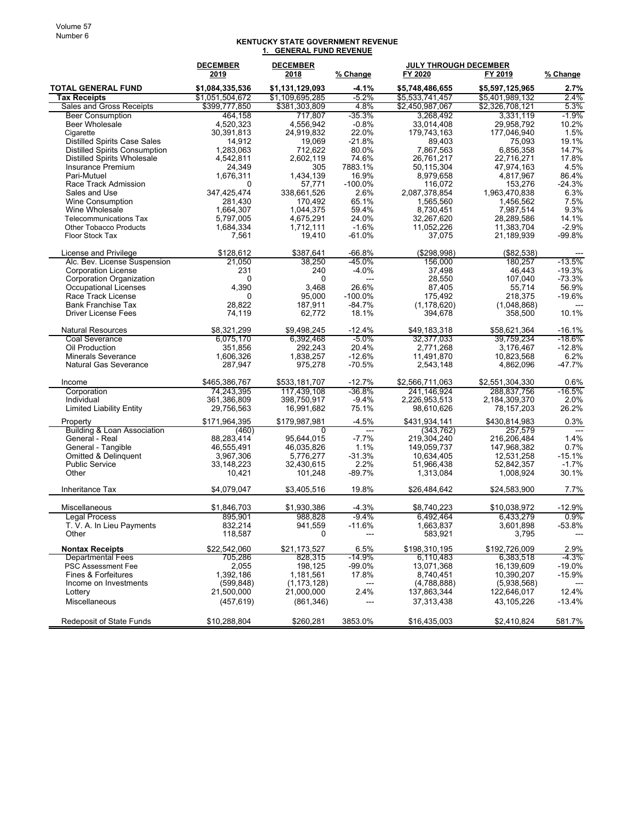## **KENTUCKY STATE GOVERNMENT REVENUE 1. GENERAL FUND REVENUE**

|                                                                | <b>DECEMBER</b>         | <b>DECEMBER</b>         |                          | <b>JULY THROUGH DECEMBER</b> |                            |                  |
|----------------------------------------------------------------|-------------------------|-------------------------|--------------------------|------------------------------|----------------------------|------------------|
|                                                                | 2019                    | 2018                    | % Change                 | FY 2020                      | FY 2019                    | % Change         |
| <b>TOTAL GENERAL FUND</b>                                      | \$1,084,335,536         | \$1,131,129,093         | -4.1%                    | \$5,748,486,655              | \$5,597,125,965            | 2.7%             |
| <b>Tax Receipts</b>                                            | \$1,051,504,672         | \$1,109,695,285         | $-5.2%$                  | \$5,533,741,457              | \$5,401,989,132            | 2.4%             |
| <b>Sales and Gross Receipts</b>                                | \$399,777,850           | \$381,303,809           | 4.8%                     | \$2,450,987,067              | \$2,326,708,121            | 5.3%             |
| <b>Beer Consumption</b>                                        | 464,158                 | 717,807                 | $-35.3%$                 | 3,268,492                    | 3,331,119                  | $-1.9%$          |
| <b>Beer Wholesale</b>                                          | 4,520,323               | 4,556,942               | $-0.8%$                  | 33,014,408                   | 29,958,792                 | 10.2%            |
| Cigarette                                                      | 30,391,813              | 24,919,832              | 22.0%                    | 179,743,163                  | 177,046,940                | 1.5%             |
| <b>Distilled Spirits Case Sales</b>                            | 14,912                  | 19,069                  | $-21.8%$                 | 89,403                       | 75,093                     | 19.1%            |
| Distilled Spirits Consumption                                  | 1,283,063               | 712,622                 | 80.0%                    | 7,867,563                    | 6,856,358                  | 14.7%            |
| <b>Distilled Spirits Wholesale</b>                             | 4,542,811               | 2,602,119               | 74.6%                    | 26,761,217                   | 22,716,271                 | 17.8%            |
| Insurance Premium                                              | 24,349                  | 305                     | 7883.1%                  | 50,115,304                   | 47,974,163                 | 4.5%             |
| Pari-Mutuel                                                    | 1.676,311               | 1,434,139               | 16.9%                    | 8,979,658                    | 4,817,967                  | 86.4%            |
| Race Track Admission                                           | 0                       | 57,771                  | $-100.0\%$               | 116,072                      | 153,276                    | $-24.3%$         |
| Sales and Use                                                  | 347,425,474             | 338,661,526             | 2.6%                     | 2,087,378,854                | 1,963,470,838              | 6.3%             |
| Wine Consumption                                               | 281,430                 | 170,492                 | 65.1%                    | 1.565.560                    | 1,456,562                  | 7.5%             |
| Wine Wholesale                                                 | 1,664,307               | 1,044,375               | 59.4%<br>24.0%           | 8,730,451                    | 7,987,514                  | 9.3%<br>14.1%    |
| <b>Telecommunications Tax</b><br><b>Other Tobacco Products</b> | 5,797,005<br>1,684,334  | 4,675,291<br>1,712,111  | $-1.6%$                  | 32,267,620<br>11,052,226     | 28,289,586<br>11,383,704   | $-2.9%$          |
| Floor Stock Tax                                                | 7,561                   | 19,410                  | $-61.0%$                 | 37,075                       | 21,189,939                 | -99.8%           |
|                                                                |                         |                         |                          |                              |                            |                  |
| License and Privilege                                          | \$128,612               | \$387,641               | -66.8%                   | (\$298,998)                  | (\$82,538)                 |                  |
| Alc. Bev. License Suspension                                   | 21,050                  | 38,250                  | $-45.0%$                 | 156,000                      | 180,257                    | $-13.5%$         |
| <b>Corporation License</b>                                     | 231                     | 240                     | $-4.0%$                  | 37,498                       | 46.443                     | $-19.3%$         |
| <b>Corporation Organization</b>                                | $\mathbf 0$             | 0                       | $\overline{a}$           | 28,550                       | 107,040                    | $-73.3%$         |
| <b>Occupational Licenses</b>                                   | 4,390                   | 3,468                   | 26.6%                    | 87,405                       | 55,714                     | 56.9%            |
| Race Track License                                             | 0                       | 95,000                  | $-100.0\%$               | 175,492                      | 218,375                    | $-19.6%$         |
| <b>Bank Franchise Tax</b>                                      | 28,822                  | 187,911                 | $-84.7%$                 | (1, 178, 620)                | (1,048,868)                |                  |
| <b>Driver License Fees</b>                                     | 74,119                  | 62,772                  | 18.1%                    | 394,678                      | 358,500                    | 10.1%            |
| <b>Natural Resources</b>                                       | \$8,321,299             | \$9.498.245             | $-12.4%$                 | \$49,183,318                 | \$58,621,364               | $-16.1%$         |
| Coal Severance                                                 | 6,075,170               | 6,392,468               | -5.0%                    | 32,377,033                   | 39,759,234                 | -18.6%           |
| Oil Production                                                 | 351,856                 | 292,243                 | 20.4%                    | 2,771,268                    | 3,176,467                  | $-12.8%$         |
| <b>Minerals Severance</b>                                      | 1.606.326               | 1,838,257               | $-12.6%$                 | 11,491,870                   | 10,823,568                 | 6.2%             |
| <b>Natural Gas Severance</b>                                   | 287,947                 | 975,278                 | $-70.5%$                 | 2,543,148                    | 4,862,096                  | $-47.7%$         |
| Income                                                         | \$465,386,767           | \$533,181,707           | $-12.7%$                 | \$2,566,711,063              | \$2,551,304,330            | 0.6%             |
| Corporation                                                    | 74,243,395              | 117,439,108             | $-36.8%$                 | 241,146,924                  | 288,837,756                | $-16.5%$         |
| Individual                                                     | 361,386,809             | 398,750,917             | $-9.4%$                  | 2,226,953,513                | 2,184,309,370              | 2.0%             |
| <b>Limited Liability Entity</b>                                | 29,756,563              | 16,991,682              | 75.1%                    | 98,610,626                   | 78, 157, 203               | 26.2%            |
| Property                                                       | \$171,964,395           | \$179,987,981           | $-4.5%$                  | \$431,934,141                | \$430,814,983              | 0.3%             |
| <b>Building &amp; Loan Association</b>                         | (460)                   | 0                       | $\overline{\phantom{a}}$ | (343, 762)                   | 257,579                    | $---$            |
| General - Real                                                 | 88,283,414              | 95,644,015              | $-7.7%$                  | 219,304,240                  | 216,206,484                | 1.4%             |
| General - Tangible                                             | 46,555,491              | 46,035,826              | 1.1%                     | 149,059,737                  | 147,968,382                | 0.7%             |
| Omitted & Delinquent                                           | 3,967,306               | 5,776,277               | $-31.3%$                 | 10,634,405                   | 12,531,258                 | $-15.1%$         |
| <b>Public Service</b>                                          | 33,148,223              | 32,430,615              | 2.2%                     | 51,966,438                   | 52,842,357                 | $-1.7%$          |
| Other                                                          | 10,421                  | 101,248                 | $-89.7%$                 | 1,313,084                    | 1,008,924                  | 30.1%            |
| <b>Inheritance Tax</b>                                         | \$4,079,047             | \$3,405,516             | 19.8%                    | \$26,484,642                 | \$24,583,900               | 7.7%             |
|                                                                |                         |                         |                          |                              |                            |                  |
| Miscellaneous<br><b>Legal Process</b>                          | \$1,846,703<br>895.901  | \$1,930,386<br>988,828  | $-4.3%$<br>$-9.4%$       | \$8,740,223<br>6,492,464     | \$10.038.972<br>6,433,279  | $-12.9%$<br>0.9% |
| T. V. A. In Lieu Payments                                      | 832,214                 | 941,559                 | $-11.6%$                 | 1,663,837                    | 3,601,898                  | $-53.8%$         |
| Other                                                          | 118,587                 | 0                       |                          | 583,921                      | 3,795                      |                  |
|                                                                |                         |                         |                          |                              |                            |                  |
| <b>Nontax Receipts</b><br><b>Departmental Fees</b>             | \$22,542,060<br>705,286 | \$21,173,527<br>828,315 | 6.5%<br>-14.9%           | \$198,310,195<br>6,110,483   | \$192,726,009<br>6,383,518 | 2.9%<br>-4.3%    |
| <b>PSC Assessment Fee</b>                                      | 2,055                   | 198,125                 | $-99.0%$                 | 13,071,368                   | 16,139,609                 | $-19.0%$         |
| Fines & Forfeitures                                            | 1,392,186               | 1,181,561               | 17.8%                    | 8,740,451                    | 10,390,207                 | -15.9%           |
| Income on Investments                                          | (599, 848)              | (1, 173, 128)           |                          | (4,788,888)                  | (5,938,568)                |                  |
| Lottery                                                        | 21,500,000              | 21,000,000              | 2.4%                     | 137,863,344                  | 122,646,017                | 12.4%            |
| Miscellaneous                                                  | (457, 619)              | (861, 346)              | ---                      | 37,313,438                   | 43,105,226                 | $-13.4%$         |
|                                                                |                         |                         |                          |                              |                            |                  |
| <b>Redeposit of State Funds</b>                                | \$10,288,804            | \$260,281               | 3853.0%                  | \$16,435,003                 | \$2,410,824                | 581.7%           |